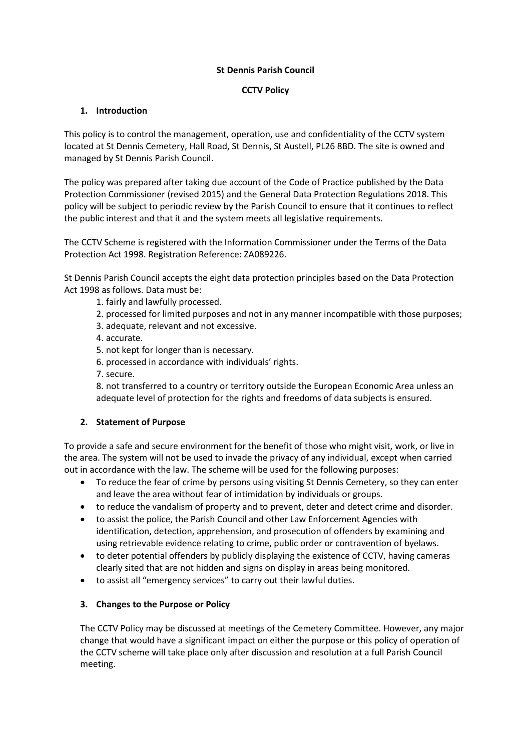### **St Dennis Parish Council**

## **CCTV Policy**

## **1. Introduction**

This policy is to control the management, operation, use and confidentiality of the CCTV system located at St Dennis Cemetery, Hall Road, St Dennis, St Austell, PL26 8BD. The site is owned and managed by St Dennis Parish Council.

The policy was prepared after taking due account of the Code of Practice published by the Data Protection Commissioner (revised 2015) and the General Data Protection Regulations 2018. This policy will be subject to periodic review by the Parish Council to ensure that it continues to reflect the public interest and that it and the system meets all legislative requirements.

The CCTV Scheme is registered with the Information Commissioner under the Terms of the Data Protection Act 1998. Registration Reference: ZA089226.

St Dennis Parish Council accepts the eight data protection principles based on the Data Protection Act 1998 as follows. Data must be:

- 1. fairly and lawfully processed.
- 2. processed for limited purposes and not in any manner incompatible with those purposes;
- 3. adequate, relevant and not excessive.
- 4. accurate.
- 5. not kept for longer than is necessary.
- 6. processed in accordance with individuals' rights.
- 7. secure.

8. not transferred to a country or territory outside the European Economic Area unless an adequate level of protection for the rights and freedoms of data subjects is ensured.

### **2. Statement of Purpose**

To provide a safe and secure environment for the benefit of those who might visit, work, or live in the area. The system will not be used to invade the privacy of any individual, except when carried out in accordance with the law. The scheme will be used for the following purposes:

- To reduce the fear of crime by persons using visiting St Dennis Cemetery, so they can enter and leave the area without fear of intimidation by individuals or groups.
- to reduce the vandalism of property and to prevent, deter and detect crime and disorder.
- to assist the police, the Parish Council and other Law Enforcement Agencies with identification, detection, apprehension, and prosecution of offenders by examining and using retrievable evidence relating to crime, public order or contravention of byelaws.
- to deter potential offenders by publicly displaying the existence of CCTV, having cameras clearly sited that are not hidden and signs on display in areas being monitored.
- to assist all "emergency services" to carry out their lawful duties.

### **3. Changes to the Purpose or Policy**

The CCTV Policy may be discussed at meetings of the Cemetery Committee. However, any major change that would have a significant impact on either the purpose or this policy of operation of the CCTV scheme will take place only after discussion and resolution at a full Parish Council meeting.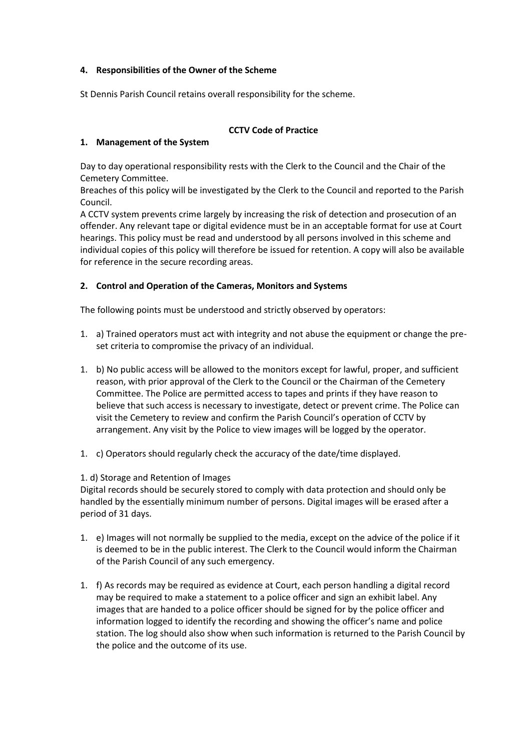### **4. Responsibilities of the Owner of the Scheme**

St Dennis Parish Council retains overall responsibility for the scheme.

### **CCTV Code of Practice**

### **1. Management of the System**

Day to day operational responsibility rests with the Clerk to the Council and the Chair of the Cemetery Committee.

Breaches of this policy will be investigated by the Clerk to the Council and reported to the Parish Council.

A CCTV system prevents crime largely by increasing the risk of detection and prosecution of an offender. Any relevant tape or digital evidence must be in an acceptable format for use at Court hearings. This policy must be read and understood by all persons involved in this scheme and individual copies of this policy will therefore be issued for retention. A copy will also be available for reference in the secure recording areas.

### **2. Control and Operation of the Cameras, Monitors and Systems**

The following points must be understood and strictly observed by operators:

- 1. a) Trained operators must act with integrity and not abuse the equipment or change the preset criteria to compromise the privacy of an individual.
- 1. b) No public access will be allowed to the monitors except for lawful, proper, and sufficient reason, with prior approval of the Clerk to the Council or the Chairman of the Cemetery Committee. The Police are permitted access to tapes and prints if they have reason to believe that such access is necessary to investigate, detect or prevent crime. The Police can visit the Cemetery to review and confirm the Parish Council's operation of CCTV by arrangement. Any visit by the Police to view images will be logged by the operator.
- 1. c) Operators should regularly check the accuracy of the date/time displayed.

#### 1. d) Storage and Retention of Images

Digital records should be securely stored to comply with data protection and should only be handled by the essentially minimum number of persons. Digital images will be erased after a period of 31 days.

- 1. e) Images will not normally be supplied to the media, except on the advice of the police if it is deemed to be in the public interest. The Clerk to the Council would inform the Chairman of the Parish Council of any such emergency.
- 1. f) As records may be required as evidence at Court, each person handling a digital record may be required to make a statement to a police officer and sign an exhibit label. Any images that are handed to a police officer should be signed for by the police officer and information logged to identify the recording and showing the officer's name and police station. The log should also show when such information is returned to the Parish Council by the police and the outcome of its use.